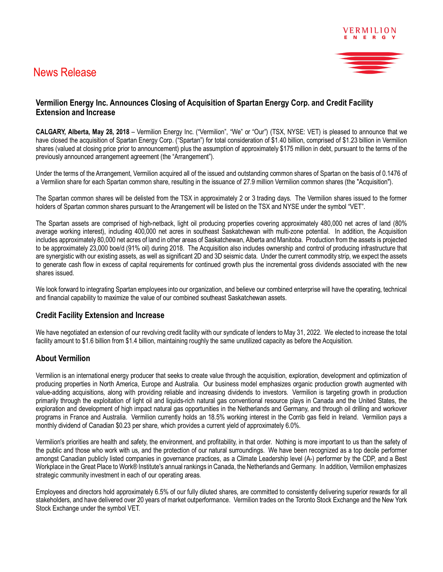# News Release



# **Vermilion Energy Inc. Announces Closing of Acquisition of Spartan Energy Corp. and Credit Facility Extension and Increase**

**CALGARY, Alberta, May 28, 2018** – Vermilion Energy Inc. ("Vermilion", "We" or "Our") (TSX, NYSE: VET) is pleased to announce that we have closed the acquisition of Spartan Energy Corp. ("Spartan") for total consideration of \$1.40 billion, comprised of \$1.23 billion in Vermilion shares (valued at closing price prior to announcement) plus the assumption of approximately \$175 million in debt, pursuant to the terms of the previously announced arrangement agreement (the "Arrangement").

Under the terms of the Arrangement, Vermilion acquired all of the issued and outstanding common shares of Spartan on the basis of 0.1476 of a Vermilion share for each Spartan common share, resulting in the issuance of 27.9 million Vermilion common shares (the "Acquisition").

The Spartan common shares will be delisted from the TSX in approximately 2 or 3 trading days. The Vermilion shares issued to the former holders of Spartan common shares pursuant to the Arrangement will be listed on the TSX and NYSE under the symbol "VET".

The Spartan assets are comprised of high-netback, light oil producing properties covering approximately 480,000 net acres of land (80% average working interest), including 400,000 net acres in southeast Saskatchewan with multi-zone potential. In addition, the Acquisition includes approximately 80,000 net acres of land in other areas of Saskatchewan, Alberta and Manitoba. Production from the assets is projected to be approximately 23,000 boe/d (91% oil) during 2018. The Acquisition also includes ownership and control of producing infrastructure that are synergistic with our existing assets, as well as significant 2D and 3D seismic data. Under the current commodity strip, we expect the assets to generate cash flow in excess of capital requirements for continued growth plus the incremental gross dividends associated with the new shares issued.

We look forward to integrating Spartan employees into our organization, and believe our combined enterprise will have the operating, technical and financial capability to maximize the value of our combined southeast Saskatchewan assets.

# **Credit Facility Extension and Increase**

We have negotiated an extension of our revolving credit facility with our syndicate of lenders to May 31, 2022. We elected to increase the total facility amount to \$1.6 billion from \$1.4 billion, maintaining roughly the same unutilized capacity as before the Acquisition.

### **About Vermilion**

Vermilion is an international energy producer that seeks to create value through the acquisition, exploration, development and optimization of producing properties in North America, Europe and Australia. Our business model emphasizes organic production growth augmented with value-adding acquisitions, along with providing reliable and increasing dividends to investors. Vermilion is targeting growth in production primarily through the exploitation of light oil and liquids-rich natural gas conventional resource plays in Canada and the United States, the exploration and development of high impact natural gas opportunities in the Netherlands and Germany, and through oil drilling and workover programs in France and Australia. Vermilion currently holds an 18.5% working interest in the Corrib gas field in Ireland. Vermilion pays a monthly dividend of Canadian \$0.23 per share, which provides a current yield of approximately 6.0%.

Vermilion's priorities are health and safety, the environment, and profitability, in that order. Nothing is more important to us than the safety of the public and those who work with us, and the protection of our natural surroundings. We have been recognized as a top decile performer amongst Canadian publicly listed companies in governance practices, as a Climate Leadership level (A-) performer by the CDP, and a Best Workplace in the Great Place to Work® Institute's annual rankings in Canada, the Netherlands and Germany. In addition, Vermilion emphasizes strategic community investment in each of our operating areas.

Employees and directors hold approximately 6.5% of our fully diluted shares, are committed to consistently delivering superior rewards for all stakeholders, and have delivered over 20 years of market outperformance. Vermilion trades on the Toronto Stock Exchange and the New York Stock Exchange under the symbol VET.